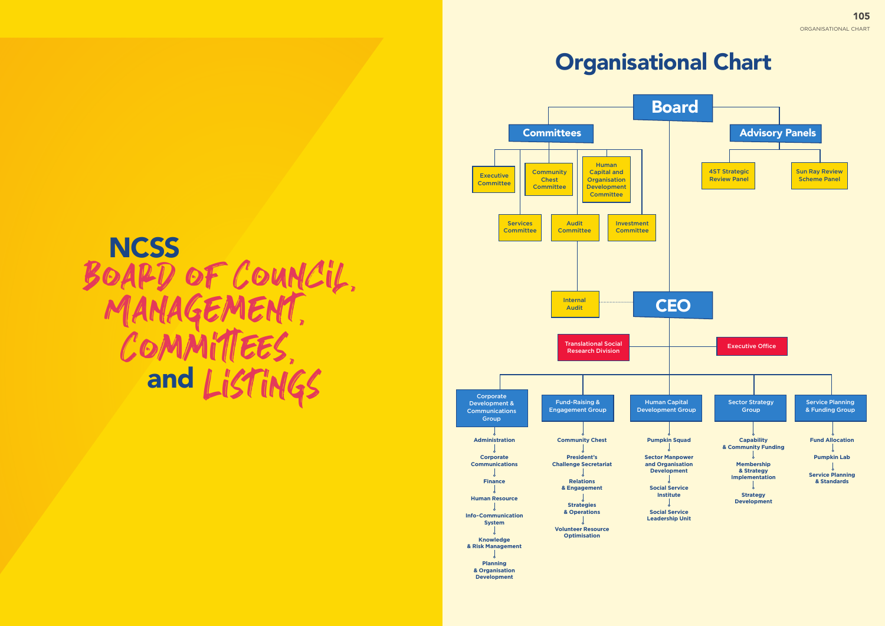# Organisational Chart



# Management, Board of Council, **NCSS TANAGEMEI**<br>COMMITTEE and ListinGs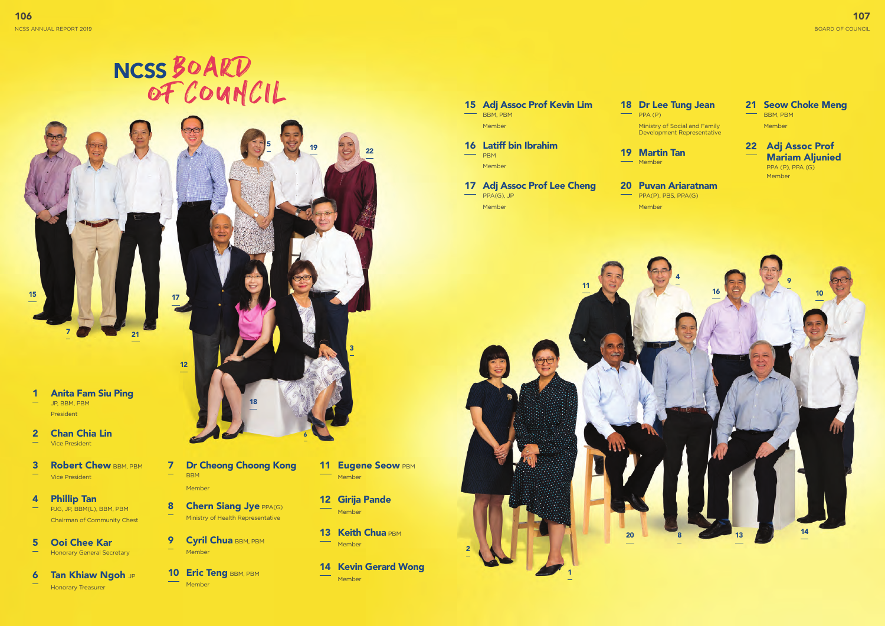



**21** 

2 Chan Chia Lin Vice President

- 7 Dr Cheong Choong Kong BBM Member
- 8 Chern Siang Jye PPA(G) Ministry of Health Representative
- 9 Cyril Chua BBM, PBM Member
- **10 Eric Teng BBM, PBM Member**
- **11 Eugene Seow PBM** Member
- 12 Girija Pande Member
- 13 Keith Chua PBM Member
- 14 Kevin Gerard Wong Member
- **3** Robert Chew BBM, PBM Vice President
- 4 Phillip Tan PJG, JP, BBM(L), BBM, PBM Chairman of Community Chest
- 5 Ooi Chee Kar Honorary General Secretary
- **6 Tan Khiaw Ngoh JP** Honorary Treasurer



- $\rightarrow$  PPA (P)
	- 19 Martin Tan **Member**
	- 20 Puvan Ariaratnam  $\longrightarrow$  PPA(P), PBS, PPA(G) Member

#### 21 Seow Choke Meng BBM, PBM

15

17



Member

- 16 Latiff bin Ibrahim PBM
- 17 Adj Assoc Prof Lee Cheng PPA(G), JP
- Member

### 15 Adj Assoc Prof Kevin Lim BBM, PBM Member

### 18 Dr Lee Tung Jean

Ministry of Social and Family Development Representative

Member

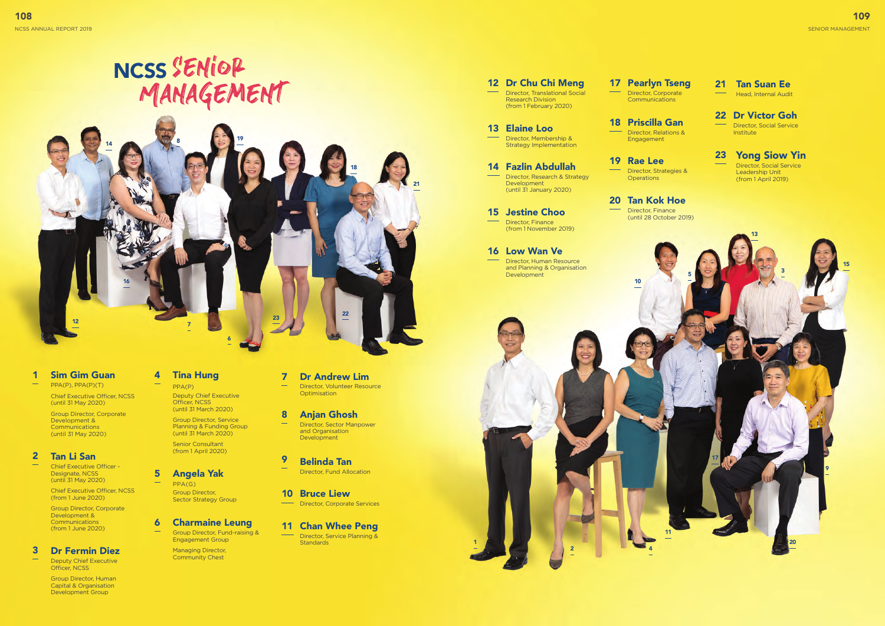# Management NCSS SENIOR

2



1

10



4

#### 1 Sim Gim Guan PPA(P), PPA(P)(T)

Chief Executive Officer, NCSS (until 31 May 2020)

Group Director, Corporate Development & **Communications** (until 31 May 2020)

Director, Volunteer Resource **Optimisation** 

#### 2 Tan Li San

- 9 Belinda Tan Director, Fund Allocation
- 10 Bruce Liew
- **Director, Corporate Services**

Chief Executive Officer - Designate, NCSS (until 31 May 2020)

> Director, Service Planning & **Standards**

Chief Executive Officer, NCSS (from 1 June 2020)

Group Director, Corporate Development & **Communications** (from 1 June 2020)

## 7 Dr Andrew Lim

#### 8 Anjan Ghosh

#### 5 Angela YakPPA(G) Group Director, Sector Strategy Group

Director, Sector Manpower and Organisation Development

#### 11 Chan Whee Peng

 $\frac{1}{2} \left( \frac{1}{2} \right) \left( \frac{1}{2} \right) \left( \frac{1}{2} \right) \left( \frac{1}{2} \right) \left( \frac{1}{2} \right) \left( \frac{1}{2} \right) \left( \frac{1}{2} \right) \left( \frac{1}{2} \right) \left( \frac{1}{2} \right) \left( \frac{1}{2} \right) \left( \frac{1}{2} \right) \left( \frac{1}{2} \right) \left( \frac{1}{2} \right) \left( \frac{1}{2} \right) \left( \frac{1}{2} \right) \left( \frac{1}{2} \right) \left( \frac$ Director, Human Resource and Planning & Organisation Development

#### 17 Pearlyn Tseng Director, Corporate **Communications**

6 Charmaine Leung Group Director, Fund-raising & Engagement Group

Director, Research & Strategy Development (until 31 January 2020)

#### 19 Rae Lee Director, Strategies & **Operations**

Managing Director, Community Chest

### 3 Dr Fermin Diez

Deputy Chief Executive Officer, NCSS

> Group Director, Human Capital & Organisation Development Group

## 4 Tina Hung

PPA(P) Deputy Chief Executive Officer, NCSS (until 31 March 2020)

Group Director, Service Planning & Funding Group (until 31 March 2020)

Senior Consultant (from 1 April 2020)

### 13 Elaine Loo

Director, Membership & Strategy Implementation

# 15 Jestine Choo

Director, Finance (from 1 November 2019)

### 16 Low Wan Ve

20 Tan Kok Hoe Director, Finance (until 28 October 2019) 22 Dr Victor Goh Director, Social Service Institute

#### 14 Fazlin Abdullah

18 Priscilla Gan Director, Relations & Engagement

21 Tan Suan Ee Head, Internal Audit

23 Yong Siow Yin Director, Social Service

Leadership Unit (from 1 April 2019)



## 12 Dr Chu Chi Meng

Director, Translational Social Research Division (from 1 February 2020)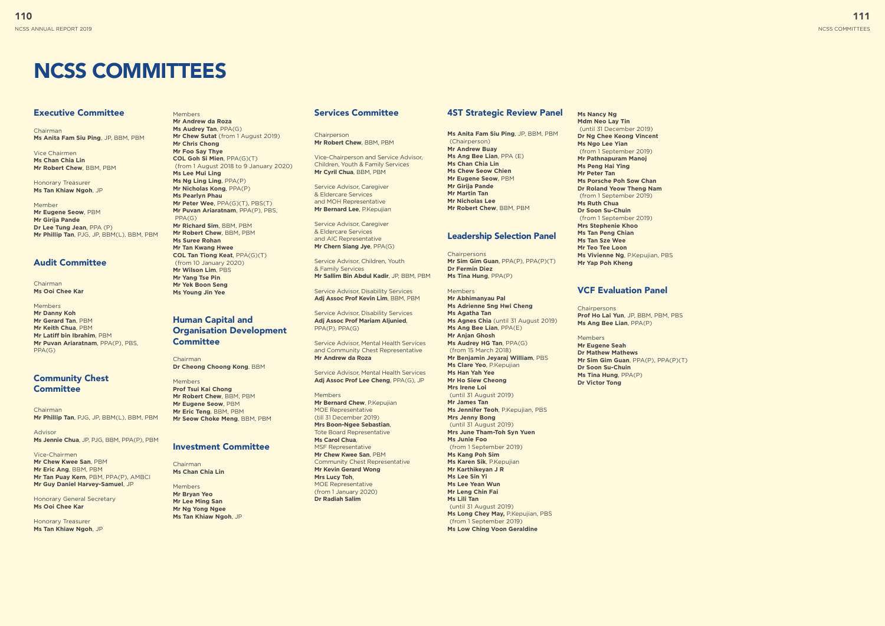# NCSS COMMITTEES

#### Executive Committee

**Chairman Ms Anita Fam Siu Ping**, JP, BBM, PBM

Vice Chairmen **Ms Chan Chia Lin Mr Robert Chew**, BBM, PBM

Chairman **Ms Ooi Chee Kar** 

Honorary Treasurer **Ms Tan Khiaw Ngoh**, JP

#### Community Chest **Committee**

Member **Mr Eugene Seow**, PBM **Mr Girija Pande Dr Lee Tung Jean**, PPA (P) **Mr Phillip Tan**, PJG, JP, BBM(L), BBM, PBM

#### Audit Committee

Members **Mr Danny Koh Mr Gerard Tan**, PBM **Mr Keith Chua**, PBM **Mr Latiff bin Ibrahim**, PBM **Mr Puvan Ariaratnam**, PPA(P), PBS, PPA(G)

Chairman **Mr Phillip Tan**, PJG, JP, BBM(L), BBM, PBM

Advisor **Ms Jennie Chua**, JP, PJG, BBM, PPA(P), PBM

Vice-Chairmen **Mr Chew Kwee San**, PBM **Mr Eric Ang**, BBM, PBM **Mr Tan Puay Kern**, PBM, PPA(P), AMBCI **Mr Guy Daniel Harvey-Samuel**, JP

#### Human Capital and Organisation Development **Committee**

Honorary General Secretary **Ms Ooi Chee Kar**

Honorary Treasurer **Ms Tan Khiaw Ngoh**, JP **Chairperson Mr Robert Chew**, BBM, PBM

#### Members **Mr Andrew da Roza Ms Audrey Tan**, PPA(G) **Mr Chew Sutat** (from 1 August 2019) **Mr Chris Chong Mr Foo Say Thye COL Goh Si Mien**, PPA(G)(T) (from 1 August 2018 to 9 January 2020) **Ms Lee Mui Ling Ms Ng Ling Ling**, PPA(P) **Mr Nicholas Kong**, PPA(P) **Ms Pearlyn Phau Mr Peter Wee**, PPA(G)(T), PBS(T) **Mr Puvan Ariaratnam**, PPA(P), PBS, PPA(G) **Mr Richard Sim**, BBM, PBM **Mr Robert Chew**, BBM, PBM **Ms Suree Rohan Mr Tan Kwang Hwee COL Tan Tiong Keat**, PPA(G)(T) (from 10 January 2020) **Mr Wilson Lim**, PBS **Mr Yang Tse Pin Mr Yek Boon Seng Ms Young Jin Yee**

Chairman **Dr Cheong Choong Kong**, BBM

#### Members **Prof Tsui Kai Chong Mr Robert Chew**, BBM, PBM

**Mr Eugene Seow**, PBM **Mr Eric Teng**, BBM, PBM **Mr Seow Choke Meng**, BBM, PBM **Chairpersons Mr Sim Gim Guan**, PPA(P), PPA(P)(T) **Dr Fermin Diez Ms Tina Hung**, PPA(P)

#### Investment Committee

Chairman **Ms Chan Chia Lin**

Members **Mr Bryan Yeo Mr Lee Ming San Mr Ng Yong Ngee Ms Tan Khiaw Ngoh**, JP

#### Services Committee

Vice-Chairperson and Service Advisor, Children, Youth & Family Services **Mr Cyril Chua**, BBM, PBM

Service Advisor, Caregiver & Eldercare Services and MOH Representative **Mr Bernard Lee**, P.Kepujian

Service Advisor, Caregiver & Eldercare Services and AIC Representative **Mr Chern Siang Jye**, PPA(G)

Service Advisor, Children, Youth & Family Services **Mr Sallim Bin Abdul Kadir**, JP, BBM, PBM

Service Advisor, Disability Services **Adj Assoc Prof Kevin Lim**, BBM, PBM

> **Chairpersons Prof Ho Lai Yun**, JP, BBM, PBM, PBS **Ms Ang Bee Lian**, PPA(P)

Service Advisor, Disability Services **Adj Assoc Prof Mariam Aljunied**, PPA(P), PPA(G)

Service Advisor, Mental Health Services and Community Chest Representative **Mr Andrew da Roza**

Service Advisor, Mental Health Services **Adj Assoc Prof Lee Cheng**, PPA(G), JP

Members **Mr Bernard Chew**, P.Kepujian MOE Representative (till 31 December 2019) **Mrs Boon-Ngee Sebastian**, Tote Board Representative **Ms Carol Chua**, MSF Representative **Mr Chew Kwee San**, PBM Community Chest Representative **Mr Kevin Gerard Wong Mrs Lucy Toh**, MOE Representative (from 1 January 2020) **Dr Radiah Salim**

#### 4ST Strategic Review Panel

**Ms Anita Fam Siu Ping**, JP, BBM, PBM (Chairperson) **Mr Andrew Buay Ms Ang Bee Lian**, PPA (E) **Ms Chan Chia Lin Ms Chew Seow Chien Mr Eugene Seow**, PBM **Mr Girija Pande Mr Martin Tan Mr Nicholas Lee Mr Robert Chew**, BBM, PBM

#### Leadership Selection Panel

Members **Mr Abhimanyau Pal Ms Adrienne Sng Hwi Cheng Ms Agatha Tan Ms Agnes Chia** (until 31 August 2019) **Ms Ang Bee Lian**, PPA(E) **Mr Anjan Ghosh Ms Audrey HG Tan**, PPA(G) (from 15 March 2018) **Mr Benjamin Jeyaraj William**, PBS **Ms Clare Yeo**, P.Kepujian

**Ms Han Yah Yee Mr Ho Siew Cheong Mrs Irene Loi**  (until 31 August 2019) **Mr James Tan Ms Jennifer Teoh**, P.Kepujian, PBS **Mrs Jenny Bong**  (until 31 August 2019) **Mrs June Tham-Toh Syn Yuen Ms Junie Foo**  (from 1 September 2019) **Ms Kang Poh Sim Ms Karen Sik**, P.Kepujian **Mr Karthikeyan J R Ms Lee Sin Yi Ms Lee Yean Wun Mr Leng Chin Fai Ms Lili Tan**  (until 31 August 2019) **Ms Long Chey May,** P.Kepujian, PBS (from 1 September 2019) **Ms Low Ching Voon Geraldine**

**Ms Nancy Ng Mdm Neo Lay Tin** (until 31 December 2019) **Dr Ng Chee Keong Vincent**

#### **Ms Ngo Lee Yian**  (from 1 September 2019) **Mr Pathnapuram Manoj Ms Peng Hai Ying Mr Peter Tan Ms Porsche Poh Sow Chan Dr Roland Yeow Theng Nam**  (from 1 September 2019) **Ms Ruth Chua Dr Soon Su-Chuin**  (from 1 September 2019) **Mrs Stephenie Khoo Ms Tan Peng Chian Ms Tan Sze Wee Mr Teo Tee Loon Ms Vivienne Ng**, P.Kepujian, PBS **Mr Yap Poh Kheng**

#### VCF Evaluation Panel

Members

**Mr Eugene Seah Dr Mathew Mathews Mr Sim Gim Guan**, PPA(P), PPA(P)(T) **Dr Soon Su-Chuin Ms Tina Hung**, PPA(P) **Dr Victor Tong**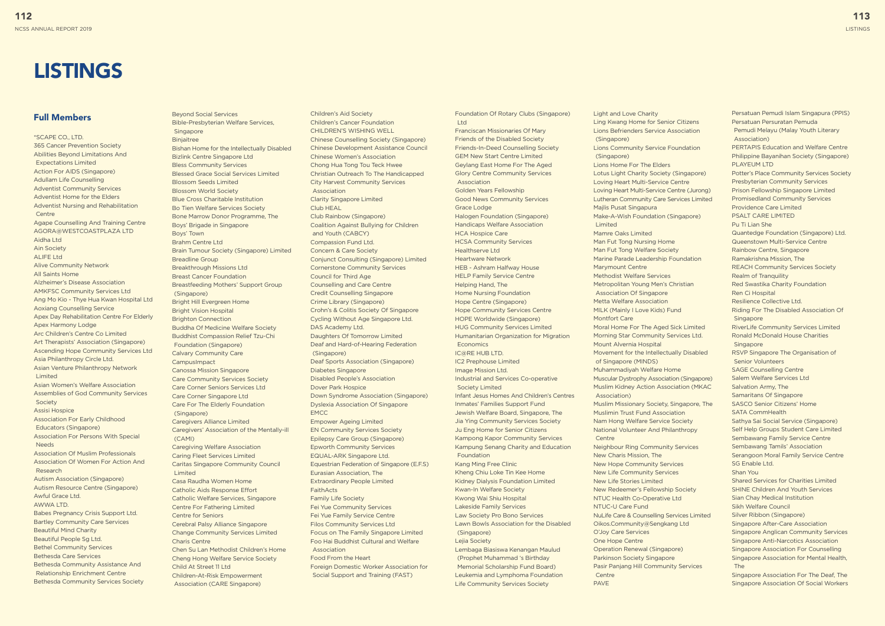#### Full Members

\*SCAPE CO., LTD. 365 Cancer Prevention Society Abilities Beyond Limitations And Expectations Limited Action For AIDS (Singapore) Adullam Life Counselling Adventist Community Services Adventist Home for the Elders Adventist Nursing and Rehabilitation **Centre** Agape Counselling And Training Centre AGORA@WESTCOASTPLAZA LTD Aidha Ltd Ain Society ALIFE Ltd Alive Community Network All Saints Home Alzheimer's Disease Association AMKFSC Community Services Ltd Ang Mo Kio - Thye Hua Kwan Hospital Ltd Aoxiang Counselling Service Apex Day Rehabilitation Centre For Elderly Apex Harmony Lodge Arc Children's Centre Co Limited Art Therapists' Association (Singapore) Ascending Hope Community Services Ltd Asia Philanthropy Circle Ltd. Asian Venture Philanthropy Network Limited Asian Women's Welfare Association Assemblies of God Community Services **Society** Assisi Hospice Association For Early Childhood Educators (Singapore) Association For Persons With Special Needs Association Of Muslim Professionals Association Of Women For Action And Research Autism Association (Singapore) Autism Resource Centre (Singapore) Awful Grace Ltd. AWWA ITD. Babes Pregnancy Crisis Support Ltd. Bartley Community Care Services Beautiful Mind Charity Beautiful People Sg Ltd. Bethel Community Services Bethesda Care Services Bethesda Community Assistance And Relationship Enrichment Centre

Beyond Social Services Bible-Presbyterian Welfare Services, **Singapore** Binjaitree Bishan Home for the Intellectually Disabled Bizlink Centre Singapore Ltd Bless Community Services Blessed Grace Social Services Limited Blossom Seeds Limited Blossom World Society Blue Cross Charitable Institution Bo Tien Welfare Services Society Bone Marrow Donor Programme, The Boys' Brigade in Singapore Boys' Town Brahm Centre Ltd Brain Tumour Society (Singapore) Limited Breadline Group Breakthrough Missions Ltd Breast Cancer Foundation Breastfeeding Mothers' Support Group (Singapore) Bright Hill Evergreen Home Bright Vision Hospital Brighton Connection Buddha Of Medicine Welfare Society Buddhist Compassion Relief Tzu-Chi Foundation (Singapore) Calvary Community Care CampusImpact Canossa Mission Singapore Care Community Services Society Care Corner Seniors Services Ltd Care Corner Singapore Ltd Care For The Elderly Foundation (Singapore) Caregivers Alliance Limited Caregivers' Association of the Mentally-ill (CAMI) Caregiving Welfare Association Caring Fleet Services Limited Caritas Singapore Community Council Limited Casa Raudha Women Home Catholic Aids Response Effort Catholic Welfare Services, Singapore Centre For Fathering Limited Centre for Seniors Cerebral Palsy Alliance Singapore Change Community Services Limited Charis Centre Chen Su Lan Methodist Children's Home Cheng Hong Welfare Service Society Child At Street 11 Ltd

Bethesda Community Services Society

Children-At-Risk Empowerment Association (CARE Singapore)

 $H_{\rm tot}$ Franciscan Missionaries Of Mary Friends of the Disabled Society Friends-In-Deed Counselling Society GEM New Start Centre Limited Geylang East Home For The Aged Glory Centre Community Services Association Golden Years Fellowship Good News Community Services Grace Lodge Halogen Foundation (Singapore) Handicaps Welfare Association HCA Hospice Care HCSA Community Services Healthserve Ltd Heartware Network HEB - Ashram Halfway House HELP Family Service Centre Helping Hand, The Home Nursing Foundation Hope Centre (Singapore) Hope Community Services Centre HOPE Worldwide (Singapore) HUG Community Services Limited Humanitarian Organization for Migration **Economics** IC@RE HUB LTD. IC2 Prephouse Limited Image Mission Ltd. Industrial and Services Co-operative Society Limited Infant Jesus Homes And Children's Centres Inmates' Families Support Fund Jewish Welfare Board, Singapore, The Jia Ying Community Services Society Ju Eng Home for Senior Citizens Kampong Kapor Community Services Kampung Senang Charity and Education Foundation Kang Ming Free Clinic Kheng Chiu Loke Tin Kee Home Kidney Dialysis Foundation Limited Kwan-In Welfare Society Kwong Wai Shiu Hospital Lakeside Family Services Law Society Pro Bono Services Lawn Bowls Association for the Disabled (Singapore) Lejia Society Lembaga Biasiswa Kenangan Maulud (Prophet Muhammad 's Birthday Memorial Scholarship Fund Board) Leukemia and Lymphoma Foundation Life Community Services Society

Children's Aid Society Children's Cancer Foundation CHILDREN'S WISHING WELL Chinese Counselling Society (Singapore) Chinese Development Assistance Council Chinese Women's Association Chong Hua Tong Tou Teck Hwee Christian Outreach To The Handicapped City Harvest Community Services Association Clarity Singapore Limited Club HEAL Club Rainbow (Singapore) Coalition Against Bullying for Children and Youth (CABCY) Compassion Fund Ltd. Concern & Care Society Conjunct Consulting (Singapore) Limited Cornerstone Community Services Council for Third Age Counselling and Care Centre Credit Counselling Singapore Crime Library (Singapore) Crohn's & Colitis Society Of Singapore Cycling Without Age Singapore Ltd. DAS Academy Ltd. Daughters Of Tomorrow Limited Deaf and Hard-of-Hearing Federation (Singapore) Deaf Sports Association (Singapore) Diabetes Singapore Disabled People's Association Dover Park Hospice Down Syndrome Association (Singapore) Dyslexia Association Of Singapore **EMCC** Empower Ageing Limited EN Community Services Society Epilepsy Care Group (Singapore) Epworth Community Services EQUAL-ARK Singapore Ltd. Equestrian Federation of Singapore (E.F.S) Eurasian Association, The Extraordinary People Limited FaithActs Family Life Society Fei Yue Community Services Fei Yue Family Service Centre Filos Community Services Ltd Focus on The Family Singapore Limited Foo Hai Buddhist Cultural and Welfare Association Food From the Heart Foreign Domestic Worker Association for Social Support and Training (FAST)

Foundation Of Rotary Clubs (Singapore)

# **LISTINGS**

Light and Love Charity Ling Kwang Home for Senior Citizens Lions Befrienders Service Association (Singapore) Lions Community Service Foundation (Singapore) Lions Home For The Elders Lotus Light Charity Society (Singapore) Loving Heart Multi-Service Centre Loving Heart Multi-Service Centre (Jurong) Lutheran Community Care Services Limited Majlis Pusat Singapura Make-A-Wish Foundation (Singapore) Limited Mamre Oaks Limited Man Fut Tong Nursing Home Man Fut Tong Welfare Society Marine Parade Leadership Foundation Marymount Centre Methodist Welfare Services Metropolitan Young Men's Christian Association Of Singapore Metta Welfare Association MILK (Mainly I Love Kids) Fund Montfort Care Moral Home For The Aged Sick Limited Morning Star Community Services Ltd. Mount Alvernia Hospital Movement for the Intellectually Disabled of Singapore (MINDS) Muhammadiyah Welfare Home Muscular Dystrophy Association (Singapore) Muslim Kidney Action Association (MKAC Association) Muslim Missionary Society, Singapore, The Muslimin Trust Fund Association Nam Hong Welfare Service Society National Volunteer And Philanthropy Centre Neighbour Ring Community Services New Charis Mission, The New Hope Community Services New Life Community Services New Life Stories Limited New Redeemer's Fellowship Society NTUC Health Co-Operative Ltd NTUC-U Care Fund NuLife Care & Counselling Services Limited Oikos.Community@Sengkang Ltd O'Joy Care Services One Hope Centre Operation Renewal (Singapore) Parkinson Society Singapore Pasir Panjang Hill Community Services Centre PAVE

Persatuan Pemudi Islam Singapura (PPIS) Persatuan Persuratan Pemuda Pemudi Melayu (Malay Youth Literary Association) PERTAPIS Education and Welfare Centre Philippine Bayanihan Society (Singapore) PLAYEUM LTD Potter's Place Community Services Society Presbyterian Community Services Prison Fellowship Singapore Limited Promisedland Community Services Providence Care Limited PSALT CARE LIMITED Pu Ti Lian She Quantedge Foundation (Singapore) Ltd. Queenstown Multi-Service Centre Rainbow Centre, Singapore Ramakrishna Mission, The REACH Community Services Society Realm of Tranquility Red Swastika Charity Foundation Ren Ci Hospital Resilience Collective Ltd. Riding For The Disabled Association Of Singapore RiverLife Community Services Limited Ronald McDonald House Charities Singapore RSVP Singapore The Organisation of Senior Volunteers SAGE Counselling Centre Salem Welfare Services Ltd Salvation Army, The Samaritans Of Singapore SASCO Senior Citizens' Home SATA CommHealth Sathya Sai Social Service (Singapore) Self Help Groups Student Care Limited Sembawang Family Service Centre Sembawang Tamils' Association Serangoon Moral Family Service Centre SG Enable Ltd. Shan You Shared Services for Charities Limited SHINE Children And Youth Services Sian Chay Medical Institution Sikh Welfare Council Silver Ribbon (Singapore) Singapore After-Care Association Singapore Anglican Community Services Singapore Anti-Narcotics Association Singapore Association For Counselling Singapore Association for Mental Health, The Singapore Association For The Deaf, The Singapore Association Of Social Workers